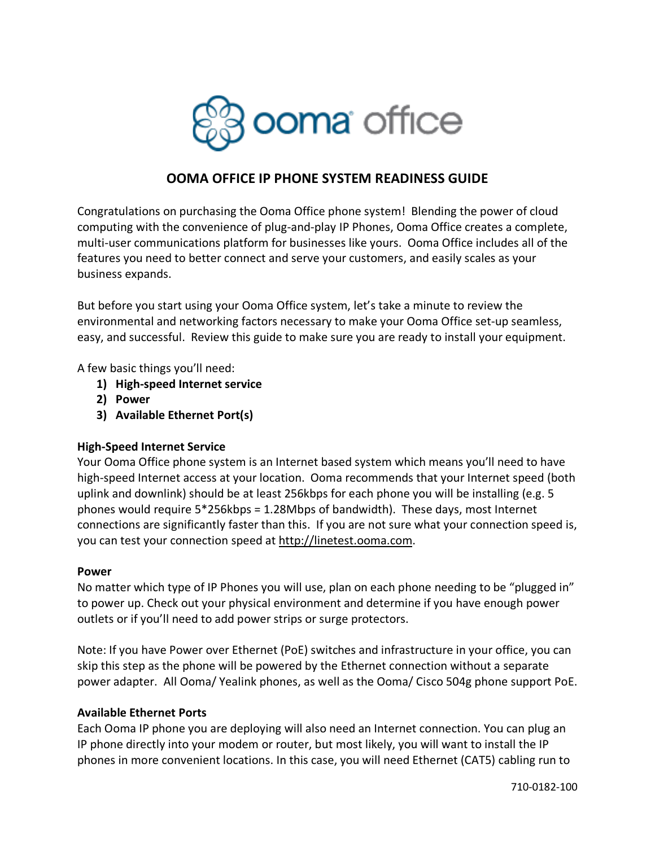

## **OOMA OFFICE IP PHONE SYSTEM READINESS GUIDE**

Congratulations on purchasing the Ooma Office phone system! Blending the power of cloud computing with the convenience of plug-and-play IP Phones, Ooma Office creates a complete, multi-user communications platform for businesses like yours. Ooma Office includes all of the features you need to better connect and serve your customers, and easily scales as your business expands.

But before you start using your Ooma Office system, let's take a minute to review the environmental and networking factors necessary to make your Ooma Office set-up seamless, easy, and successful. Review this guide to make sure you are ready to install your equipment.

A few basic things you'll need:

- **1) High-speed Internet service**
- **2) Power**
- **3) Available Ethernet Port(s)**

## **High-Speed Internet Service**

Your Ooma Office phone system is an Internet based system which means you'll need to have high-speed Internet access at your location. Ooma recommends that your Internet speed (both uplink and downlink) should be at least 256kbps for each phone you will be installing (e.g. 5 phones would require 5\*256kbps = 1.28Mbps of bandwidth). These days, most Internet connections are significantly faster than this. If you are not sure what your connection speed is, you can test your connection speed at http://linetest.ooma.com.

## **Power**

No matter which type of IP Phones you will use, plan on each phone needing to be "plugged in" to power up. Check out your physical environment and determine if you have enough power outlets or if you'll need to add power strips or surge protectors.

Note: If you have Power over Ethernet (PoE) switches and infrastructure in your office, you can skip this step as the phone will be powered by the Ethernet connection without a separate power adapter. All Ooma/ Yealink phones, as well as the Ooma/ Cisco 504g phone support PoE.

## **Available Ethernet Ports**

Each Ooma IP phone you are deploying will also need an Internet connection. You can plug an IP phone directly into your modem or router, but most likely, you will want to install the IP phones in more convenient locations. In this case, you will need Ethernet (CAT5) cabling run to